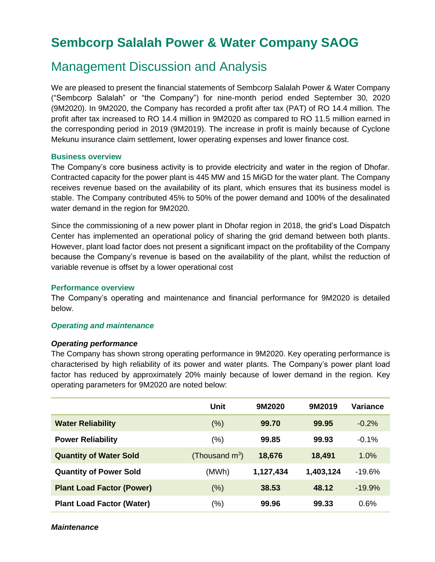# **Sembcorp Salalah Power & Water Company SAOG**

# Management Discussion and Analysis

We are pleased to present the financial statements of Sembcorp Salalah Power & Water Company ("Sembcorp Salalah" or "the Company") for nine-month period ended September 30, 2020 (9M2020). In 9M2020, the Company has recorded a profit after tax (PAT) of RO 14.4 million. The profit after tax increased to RO 14.4 million in 9M2020 as compared to RO 11.5 million earned in the corresponding period in 2019 (9M2019). The increase in profit is mainly because of Cyclone Mekunu insurance claim settlement, lower operating expenses and lower finance cost.

#### **Business overview**

The Company's core business activity is to provide electricity and water in the region of Dhofar. Contracted capacity for the power plant is 445 MW and 15 MiGD for the water plant. The Company receives revenue based on the availability of its plant, which ensures that its business model is stable. The Company contributed 45% to 50% of the power demand and 100% of the desalinated water demand in the region for 9M2020.

Since the commissioning of a new power plant in Dhofar region in 2018, the grid's Load Dispatch Center has implemented an operational policy of sharing the grid demand between both plants. However, plant load factor does not present a significant impact on the profitability of the Company because the Company's revenue is based on the availability of the plant, whilst the reduction of variable revenue is offset by a lower operational cost

#### **Performance overview**

The Company's operating and maintenance and financial performance for 9M2020 is detailed below.

### *Operating and maintenance*

#### *Operating performance*

The Company has shown strong operating performance in 9M2020. Key operating performance is characterised by high reliability of its power and water plants. The Company's power plant load factor has reduced by approximately 20% mainly because of lower demand in the region. Key operating parameters for 9M2020 are noted below:

|                                  | <b>Unit</b>       | 9M2020    | 9M2019    | Variance |
|----------------------------------|-------------------|-----------|-----------|----------|
| <b>Water Reliability</b>         | $(\%)$            | 99.70     | 99.95     | $-0.2%$  |
| <b>Power Reliability</b>         | (%)               | 99.85     | 99.93     | $-0.1%$  |
| <b>Quantity of Water Sold</b>    | (Thousand $m^3$ ) | 18,676    | 18,491    | $1.0\%$  |
| <b>Quantity of Power Sold</b>    | (MWh)             | 1,127,434 | 1,403,124 | $-19.6%$ |
| <b>Plant Load Factor (Power)</b> | $(\%)$            | 38.53     | 48.12     | $-19.9%$ |
| <b>Plant Load Factor (Water)</b> | (%)               | 99.96     | 99.33     | 0.6%     |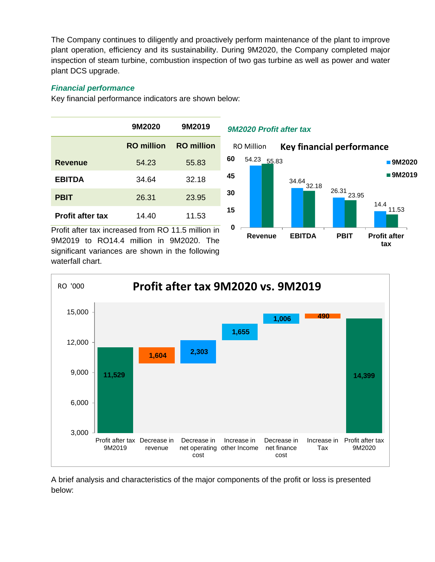The Company continues to diligently and proactively perform maintenance of the plant to improve plant operation, efficiency and its sustainability. During 9M2020, the Company completed major inspection of steam turbine, combustion inspection of two gas turbine as well as power and water plant DCS upgrade.

## *Financial performance*

Key financial performance indicators are shown below:

|                         | 9M2020            | 9M2019            |  |
|-------------------------|-------------------|-------------------|--|
|                         | <b>RO</b> million | <b>RO</b> million |  |
| <b>Revenue</b>          | 54.23             | 55.83             |  |
| <b>EBITDA</b>           | 34.64             | 32.18             |  |
| <b>PBIT</b>             | 26.31             | 23.95             |  |
| <b>Profit after tax</b> | 14.40             | 11.53             |  |

*9M2020 Profit after tax* 



Profit after tax increased from RO 11.5 million in 9M2019 to RO14.4 million in 9M2020. The significant variances are shown in the following waterfall chart.



A brief analysis and characteristics of the major components of the profit or loss is presented below: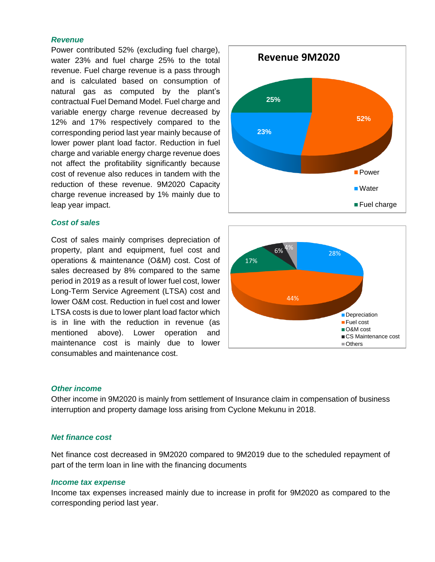#### *Revenue*

Power contributed 52% (excluding fuel charge), water 23% and fuel charge 25% to the total revenue. Fuel charge revenue is a pass through and is calculated based on consumption of natural gas as computed by the plant's contractual Fuel Demand Model. Fuel charge and variable energy charge revenue decreased by 12% and 17% respectively compared to the corresponding period last year mainly because of lower power plant load factor. Reduction in fuel charge and variable energy charge revenue does not affect the profitability significantly because cost of revenue also reduces in tandem with the reduction of these revenue. 9M2020 Capacity charge revenue increased by 1% mainly due to leap year impact.

#### *Cost of sales*

Cost of sales mainly comprises depreciation of property, plant and equipment, fuel cost and operations & maintenance (O&M) cost. Cost of sales decreased by 8% compared to the same period in 2019 as a result of lower fuel cost, lower Long-Term Service Agreement (LTSA) cost and lower O&M cost. Reduction in fuel cost and lower LTSA costs is due to lower plant load factor which is in line with the reduction in revenue (as mentioned above). Lower operation and maintenance cost is mainly due to lower consumables and maintenance cost.





#### *Other income*

Other income in 9M2020 is mainly from settlement of Insurance claim in compensation of business interruption and property damage loss arising from Cyclone Mekunu in 2018.

### *Net finance cost*

Net finance cost decreased in 9M2020 compared to 9M2019 due to the scheduled repayment of part of the term loan in line with the financing documents

#### *Income tax expense*

Income tax expenses increased mainly due to increase in profit for 9M2020 as compared to the corresponding period last year.